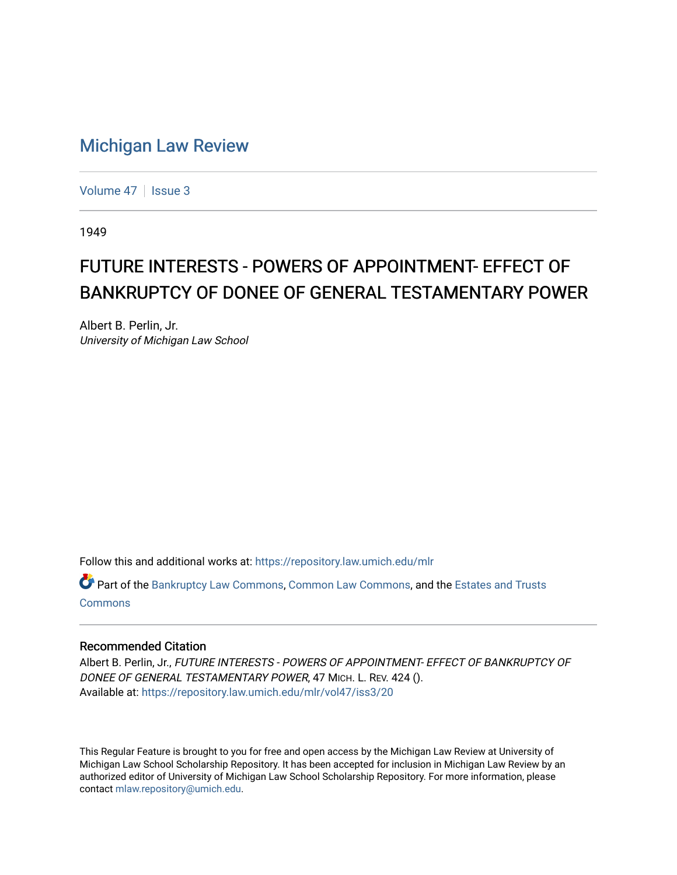## [Michigan Law Review](https://repository.law.umich.edu/mlr)

[Volume 47](https://repository.law.umich.edu/mlr/vol47) | [Issue 3](https://repository.law.umich.edu/mlr/vol47/iss3)

1949

## FUTURE INTERESTS - POWERS OF APPOINTMENT- EFFECT OF BANKRUPTCY OF DONEE OF GENERAL TESTAMENTARY POWER

Albert B. Perlin, Jr. University of Michigan Law School

Follow this and additional works at: [https://repository.law.umich.edu/mlr](https://repository.law.umich.edu/mlr?utm_source=repository.law.umich.edu%2Fmlr%2Fvol47%2Fiss3%2F20&utm_medium=PDF&utm_campaign=PDFCoverPages) 

Part of the [Bankruptcy Law Commons,](http://network.bepress.com/hgg/discipline/583?utm_source=repository.law.umich.edu%2Fmlr%2Fvol47%2Fiss3%2F20&utm_medium=PDF&utm_campaign=PDFCoverPages) [Common Law Commons](http://network.bepress.com/hgg/discipline/1120?utm_source=repository.law.umich.edu%2Fmlr%2Fvol47%2Fiss3%2F20&utm_medium=PDF&utm_campaign=PDFCoverPages), and the [Estates and Trusts](http://network.bepress.com/hgg/discipline/906?utm_source=repository.law.umich.edu%2Fmlr%2Fvol47%2Fiss3%2F20&utm_medium=PDF&utm_campaign=PDFCoverPages) [Commons](http://network.bepress.com/hgg/discipline/906?utm_source=repository.law.umich.edu%2Fmlr%2Fvol47%2Fiss3%2F20&utm_medium=PDF&utm_campaign=PDFCoverPages)

## Recommended Citation

Albert B. Perlin, Jr., FUTURE INTERESTS - POWERS OF APPOINTMENT- EFFECT OF BANKRUPTCY OF DONEE OF GENERAL TESTAMENTARY POWER, 47 MICH. L. REV. 424 (). Available at: [https://repository.law.umich.edu/mlr/vol47/iss3/20](https://repository.law.umich.edu/mlr/vol47/iss3/20?utm_source=repository.law.umich.edu%2Fmlr%2Fvol47%2Fiss3%2F20&utm_medium=PDF&utm_campaign=PDFCoverPages) 

This Regular Feature is brought to you for free and open access by the Michigan Law Review at University of Michigan Law School Scholarship Repository. It has been accepted for inclusion in Michigan Law Review by an authorized editor of University of Michigan Law School Scholarship Repository. For more information, please contact [mlaw.repository@umich.edu](mailto:mlaw.repository@umich.edu).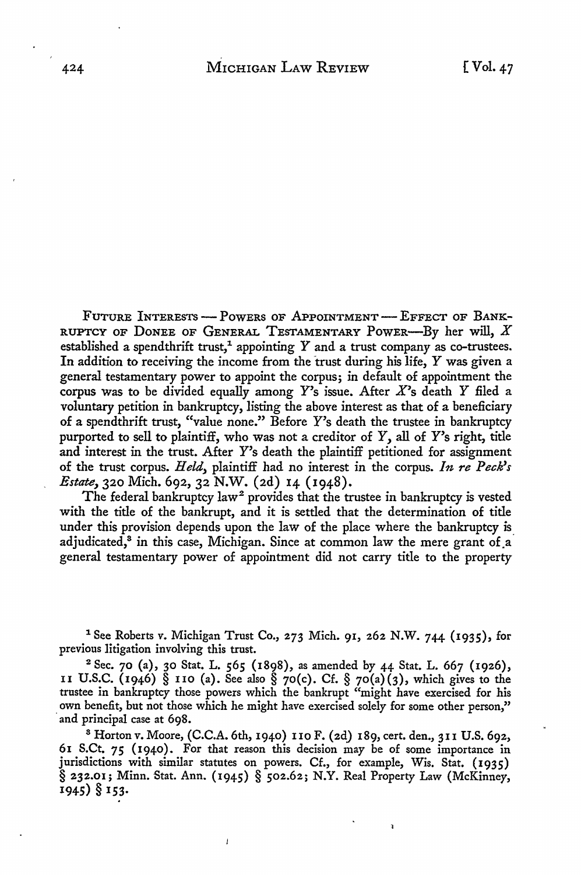FUTURE INTERESTS - POWERS OF APPOINTMENT - EFFECT OF BANK-RUPTCY OF DONEE OF GENERAL TESTAMENTARY POWER-By her will,  $X$ established a spendthrift trust,<sup>1</sup> appointing Y and a trust company as co-trustees. In addition to receiving the income from the trust during his life,  $Y$  was given a general testamentary power to appoint the corpus; in default of appointment the corpus was to be divided equally among Y's issue. After *X's* death *Y* filed a voluntary petition in bankruptcy, listing the above interest as that of a beneficiary of a spendthrift trust, "value none." Before Y's death the trustee in bankruptcy purported to sell to plaintiff, who was not a creditor of *Y,* all of Y's right, title and interest in the trust. After Y's death the plaintiff petitioned for assignment of the trust corpus. *Held,* plaintiff had no interest in the corpus. *In re Peck's Estate,* 320 Mich. 692, 32 N.W. (2d) 14 (1948).

The federal bankruptcy law<sup>2</sup> provides that the trustee in bankruptcy is vested with the title of the bankrupt, and it is settled that the determination of title under this provision depends upon the law of the place where the bankruptcy is\_ adjudicated,<sup>8</sup> in this case, Michigan. Since at common law the mere grant of a general testamentary power of appointment did not carry title to the property

<sup>1</sup> See Roberts v. Michigan Trust Co., 273 Mich. 91, 262 N.W. 744 (1935), for previous litigation involving this trust.

<sup>2</sup>Sec. 70 (a), 30 Stat. L. *565* (1898), as amended by 44 Stat. L. 667 (1926), II U.S.C. (1946) § 110 (a). See also § 70(c). Cf. § 70(a)(3), which gives to the trustee in bankruptcy those powers which the bankrupt "might have exercised for his own benefit, but not those which he might have exercised solely for some other person," and principal case at 698.

8 Horton v. Moore, (C.C.A. 6th, 1940) IIO F. (2d) 189, cert. den., 3u U.S. 692, 61 S.Ct. *75* (1940). For that reason this decision may be of some importance in jurisdictions with similar statutes on powers. Cf., for example, Wis. Stat. (1935) § 232.01; Minn. Stat. Ann. (1945) § 502.62; N.Y. Real Property Law (McKinney, 1945) § 153.

 $\mathbf{I}$ 

à.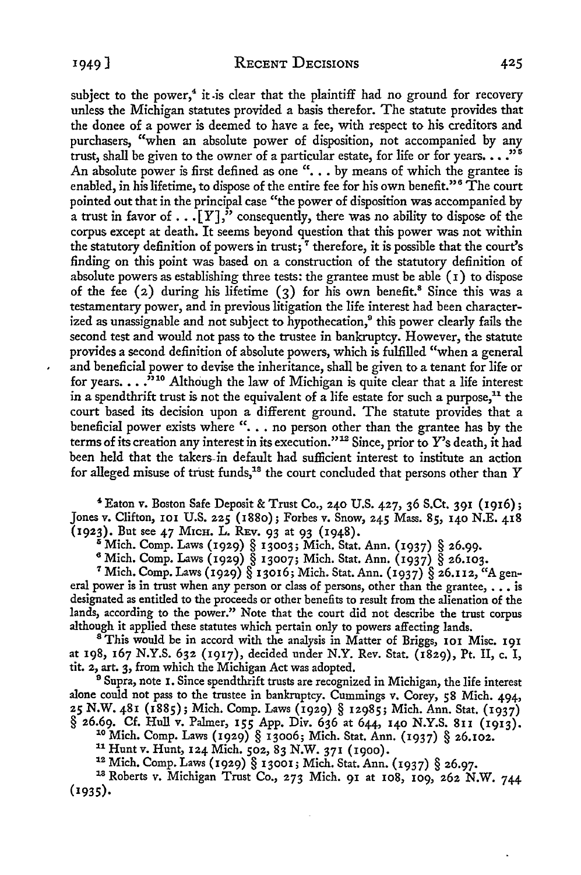subject to the power,<sup>4</sup> it is clear that the plaintiff had no ground for recovery unless the Michigan statutes provided a basis therefor. The statute provides that the donee of a power is deemed to have a fee, with respect to his creditors and purchasers, "when an absolute power of disposition, not accompanied by any trust, shall be given to the owner of a particular estate, for life or for years.  $\ldots$ "<sup>5</sup> An absolute power is first defined as one ". . . by means of which the grantee is enabled, in his lifetime, to dispose of the entire fee for his own benefit."<sup>6</sup> The court pointed out that in the principal case "the power of disposition was accompanied by a trust in favor of  $\ldots$  [Y]," consequently, there was no ability to dispose of the corpus except at death. It seems beyond question that this power was not within the statutory definition of powers in trust;  $\tau$  therefore, it is possible that the court's finding on this point was based on a construction of the statutory definition of absolute powers as establishing three tests: the grantee must be able ( 1) to dispose of the fee  $(2)$  during his lifetime  $(3)$  for his own benefit.<sup>8</sup> Since this was a testamentary power, and in previous litigation the life interest had been characterized as unassignable and not subject to hypothecation,<sup>9</sup> this power clearly fails the second test and would not pass to the trustee in bankruptcy. However, the statute provides a second definition of absolute powers, which is fulfilled "when a general and beneficial power to devise the inheritance, shall be given to a tenant for life or for years.  $\ldots$ <sup>310</sup> Although the law of Michigan is quite clear that a life interest in a spendthrift trust is not the equivalent of a life estate for such a purpose,<sup>11</sup> the court based its decision upon a different ground. The statute provides that a beneficial power exists where " $\ldots$  no person other than the grantee has by the terms of its creation any interest in its execution."<sup>12</sup> Since, prior to Y's death, it had been held that the takers-in default had sufficient interest to institute an action for alleged misuse of trust funds,<sup>18</sup> the court concluded that persons other than Y

<sup>4</sup>Eaton v. Boston Safe Deposit & Trust Co., 240 U.S. 427, 36 S.Ct. 391 (1916); Jones v. Clifton, IOI U.S. 225 (1880); Forbes v. Snow, 245 Mass. 85, 140 N.E. 418 (1923). But see 47 Mich. L. REv. 93 at 93 (1948).

8 Mich. Comp. Laws (1929) § 13003; Mich. Stat. Ann. (1937) § 26.99.<br>6 Mich. Comp. Laws (1929) § 13007; Mich. Stat. Ann. (1937) § 26.103.<br>7 Mich. Comp. Laws (1929) § 13016; Mich. Stat. Ann. (1937) § 26.112, "A general power is in trust when any person or class of persons, other than the grantee,  $\ldots$  is designated as entitled to the proceeds or other benefits to result from the alienation of the lands, according to the power." Note that the court did not describe the trust corpus although it applied these statutes which pertain only to powers affecting lands. <sup>8</sup>This would be in accord with the analysis in Matter of Briggs, **101** Misc. 191

at 198, 167 N.Y.S. 632 (1917), decided under N.Y. Rev. Stat. (1829), Pt. II, c. I, tit. 2, art. 3, from which the Michigan Act was adopted.

<sup>9</sup> Supra, note 1. Since spendthrift trusts are recognized in Michigan, the life interest alone could not pass to the trustee in bankruptcy. Cummings v. Corey, 58 Mich. 494, *25* N.W. 481 (1885); Mich. Comp. Laws (1929) § 12985; Mich. Ann. Stat. (1937)

 $\begin{array}{l} \S 26.69. \quad \text{Cf. Hull } v. \text{ Palmer, } 155 \text{ App. Div. } 636 \text{ at } 644, 140 \text{ N.Y.S. } 811 \text{ (1913)}.\\ \text{10 Mich. Comp. Laws (1929) } \S 13006; \text{ Mich. Stat. Ann. } (1937) \S 26.102.\\ \text{11 Hunt v. Hunt, } 124 \text{ Mich. } 502, 83 \text{ N.W. } 371 \text{ (1900)}.\\ \text{12 Mich. Comp. Laws (1929) } \S 13001; \text{ Mich.$ **(1935).**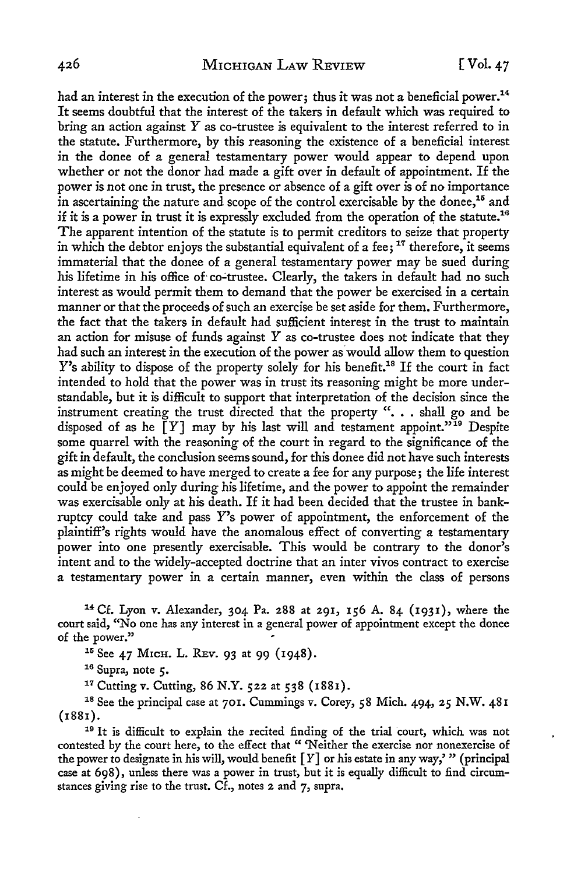had an interest in the execution of the power; thus it was not a beneficial power.<sup>14</sup> It seems doubtful that the interest of the takers in default which was required to bring an action against  $Y$  as co-trustee is equivalent to the interest referred to in the statute. Furthermore, by this reasoning the existence of a beneficial interest in the donee of a general testamentary power would appear to depend upon whether or not the donor had made a gift over in default of appointment. If the power is not one in trust, the presence or absence of a gift over is of no importance in ascertaining the nature and scope of the control exercisable by the donee, 15 and if it is a power in trust it is expressly excluded from the operation of the statute.<sup>16</sup> The apparent intention of the statute is to permit creditors to seize that property in which the debtor enjoys the substantial equivalent of a fee;  $17$  therefore, it seems immaterial that the donee of a general testamentary power may be sued during his lifetime in his office of co-trustee. Clearly, the takers in default had no such interest as would permit them to demand that the power be exercised in a certain manner or that the proceeds of such an exercise be set aside for them. Furthermore, the fact that the takers in default had sufficient interest in the trust to maintain an action for misuse of funds against  $Y$  as co-trustee does not indicate that they had such an interest in the execution of the power as'would allow them to question Y's ability to dispose of the property solely for his benefit.<sup>18</sup> If the court in fact intended to hold that the power was in trust its reasoning might be more understandable, but it is difficult to support that interpretation of the decision since the instrument creating the trust directed that the property ". . . shall go and be disposed of as he  $\check{I}Y$ ] may by his last will and testament appoint."<sup>19</sup> Despite some quarrel with the reasoning of the court in regard to the significance of the gift in default, the conclusion seems sound, for this donee did not have such interests as might be deemed to have merged to create a fee for any purpose; the life interest could be enjoyed only during his lifetime, and the power to appoint the remainder was exercisable only at his death. If it had been decided that the trustee in bankruptcy could take and pass *Y's* power of appointment, the enforcement of the plaintiff's rights would have the anomalous effect of converting a testamentary power into one presently exercisable. This would be contrary to the donor's intent and to the widely-accepted doctrine that an inter vivos contract to exercise a testamentary power in a certain manner, even within the class of persons

<sup>14</sup> Cf. Lyon v. Alexander, 304 Pa. 288 at 291, 156 A. 84 (1931), where the court said, "No one has any interest in a general power of appointment except the donee of the power."

<sup>15</sup> See 47 MrcH. L. REV. 93 at 99 (1948).<br><sup>16</sup> Supra, note 5.<br><sup>17</sup> Cutting v. Cutting, 86 N.Y. 522 at 538 (1881).<br><sup>18</sup> See the principal case at 701. Cummings v. Corey, 58 Mich. 494, 25 N.W. 481  $(1881)$ .<br><sup>19</sup> It is difficult to explain the recited finding of the trial court, which was not

contested by the court here, to the effect that " Neither the exercise nor nonexercise of the power to designate in his will, would benefit  $[Y]$  or his estate in any way,' " (principal case at 698), unless there was a power in trust, but it is equally difficult to find circumstances giving rise to the trust. Cf., notes 2 and 7, supra.